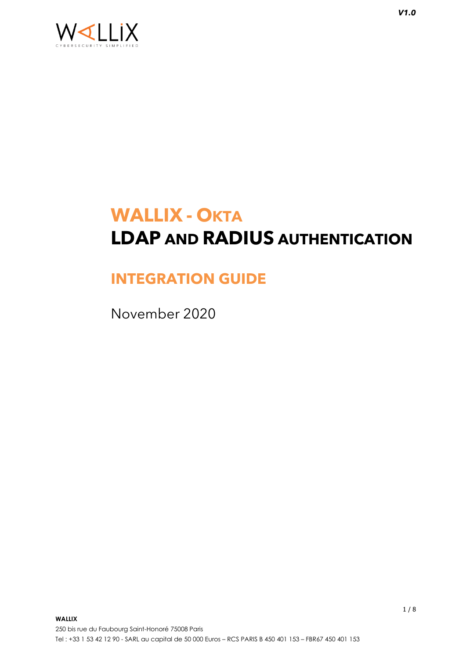

# **WALLIX - OKTA LDAP AND RADIUS AUTHENTICATION**

# **INTEGRATION GUIDE**

November 2020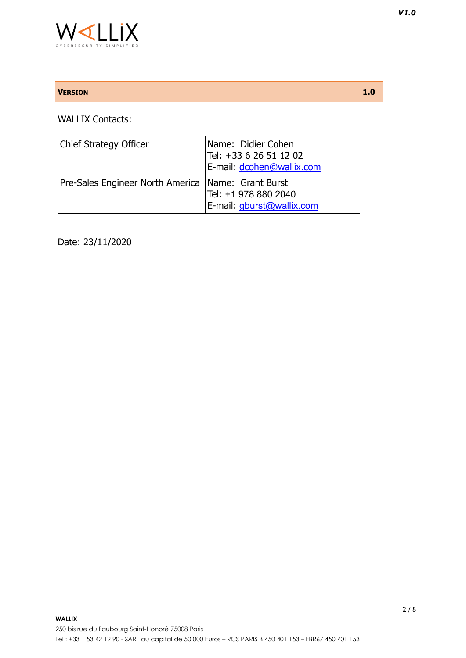

### **VERSION 1.0**

WALLIX Contacts:

| <b>Chief Strategy Officer</b>                        | Name: Didier Cohen<br>Tel: +33 6 26 51 12 02<br>E-mail: dcohen@wallix.com |
|------------------------------------------------------|---------------------------------------------------------------------------|
| Pre-Sales Engineer North America   Name: Grant Burst | Tel: +1 978 880 2040<br>E-mail: gburst@wallix.com                         |

Date: 23/11/2020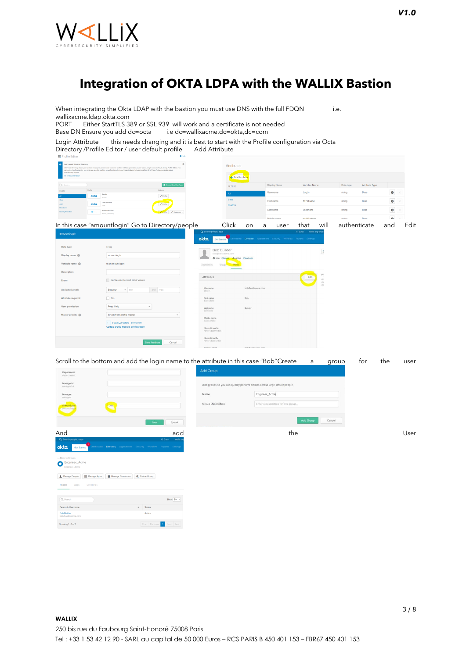

 $\ensuremath{\mathsf{People}}$  $Q$  Search

Person & U **Bob Builder**<br>bob@wellive Showing  $1 - 1$  of  $1$ 

### **Integration of OKTA LDPA with the WALLIX Bastion**

When integrating the Okta LDAP with the bastion you must use DNS with the full FDQN i.e. wallixacme.ldap.okta.com

PORT Either StartTLS 389 or SSL 939 will work and a certificate is not needed<br>Base DN Ensure you add dc=octa i.e dc=wallixacme,dc=okta,dc=com

i.e dc=wallixacme,dc=okta,dc=com

Login Attribute this needs changing and it is best to start with the Profile configuration via Octa Directory /Profile Editor / user default profile Add Attribute

| Learn about Universal Directory<br>provisioning support.<br>Go to Documentation |                  | Universal Directory allows you to store employee, partner, and customer profiles in Okta, generating a user-based, single source of truth. Using Profile Editor, you<br>can extend and customize user and app-specific profiles, as well as transform and map attributes between profiles. All of these features provide rabust | $\circ$                         |      |                                     | <b>Attributes</b><br>- Add Attribute                      |                    |   |                                                                     |                         |                       |              |                |              |      |
|---------------------------------------------------------------------------------|------------------|---------------------------------------------------------------------------------------------------------------------------------------------------------------------------------------------------------------------------------------------------------------------------------------------------------------------------------|---------------------------------|------|-------------------------------------|-----------------------------------------------------------|--------------------|---|---------------------------------------------------------------------|-------------------------|-----------------------|--------------|----------------|--------------|------|
| Q Search                                                                        |                  |                                                                                                                                                                                                                                                                                                                                 | Creete Okto User Typ            |      |                                     | <b>FILTERS</b>                                            |                    |   | Display Name                                                        | Variable Name           |                       | Data type    | Attribute Type |              |      |
| <b>FLTERS</b>                                                                   | Profile<br>Admin |                                                                                                                                                                                                                                                                                                                                 | Actions                         |      |                                     | All.                                                      |                    |   | Usemame                                                             | login                   |                       | string       | Base           | $\bullet$    |      |
| Oiss                                                                            | okta<br>aclesis  |                                                                                                                                                                                                                                                                                                                                 | $\angle$ Profile                |      |                                     | Base                                                      |                    |   | First name                                                          | firstName               |                       | string       | Base           |              |      |
| Apps<br><b>Directories</b>                                                      | okta             | User (default)                                                                                                                                                                                                                                                                                                                  | $P$ Profile                     |      |                                     | Custom                                                    |                    |   |                                                                     |                         |                       |              |                | $\bullet$    |      |
| <b>Identity Providers</b>                                                       | <b>B</b> onne    | acree.com User<br>active_drectory                                                                                                                                                                                                                                                                                               | Prefix / Mappings v             |      |                                     |                                                           |                    |   | Last name                                                           | lastName                |                       | string       | Base           | $\bullet$    |      |
|                                                                                 |                  |                                                                                                                                                                                                                                                                                                                                 |                                 |      |                                     |                                                           |                    |   | Middle name                                                         | middleName              |                       | string       | Raso           | $\mathbf{a}$ |      |
|                                                                                 |                  | In this case "amountlogin" Go to Directory/people                                                                                                                                                                                                                                                                               |                                 |      |                                     | Click                                                     | on                 | a | user                                                                | that                    | will                  | authenticate |                | and          | Edit |
| amountlogin                                                                     |                  |                                                                                                                                                                                                                                                                                                                                 |                                 | okta | Q Search people, apps               | <b>Get Started</b>                                        |                    |   | Deshboard Directory Applications Security Workflow Reports Settings | G. Burst wattx-org-6795 |                       |              |                |              |      |
| Data type                                                                       |                  | string                                                                                                                                                                                                                                                                                                                          |                                 |      |                                     | <b>Bob Builder</b>                                        |                    |   |                                                                     |                         |                       |              |                |              |      |
| Display name @                                                                  |                  | amountlogin                                                                                                                                                                                                                                                                                                                     |                                 |      |                                     | bob@wallixacme.com<br>JE User Change - A Active View Logs |                    |   |                                                                     |                         | $\tilde{\phantom{a}}$ |              |                |              |      |
| Variable name @                                                                 |                  | user.amountlogin                                                                                                                                                                                                                                                                                                                |                                 |      | Applications                        | Groups-<br>Profile                                        |                    |   |                                                                     |                         |                       |              |                |              |      |
| Description                                                                     |                  |                                                                                                                                                                                                                                                                                                                                 |                                 |      |                                     |                                                           |                    |   |                                                                     |                         | Pro                   |              |                |              |      |
| Enum                                                                            |                  | Define enumerated list of values                                                                                                                                                                                                                                                                                                |                                 |      | Attributes                          |                                                           |                    |   |                                                                     | Edit                    | Az<br>de:<br>din      |              |                |              |      |
| <b>Attribute Length</b>                                                         |                  | Between<br>$v$ min                                                                                                                                                                                                                                                                                                              | and max                         |      | Username<br>login                   |                                                           | bob@walltxacme.com |   |                                                                     |                         |                       |              |                |              |      |
| Attribute required                                                              |                  | $\Box$ Yes                                                                                                                                                                                                                                                                                                                      |                                 |      | First name<br>firstName             |                                                           | Bob                |   |                                                                     |                         |                       |              |                |              |      |
| <b>User permission</b>                                                          |                  | Read Only                                                                                                                                                                                                                                                                                                                       |                                 |      | Last name<br>lostNome               |                                                           | Builder            |   |                                                                     |                         |                       |              |                |              |      |
| Master priority @                                                               |                  | Inherit from profile master                                                                                                                                                                                                                                                                                                     | $\scriptstyle\rm w$             |      |                                     |                                                           |                    |   |                                                                     |                         |                       |              |                |              |      |
|                                                                                 |                  | 1 active_directory - acme.com<br>Update profile masters configuration                                                                                                                                                                                                                                                           |                                 |      | Middle name<br>middleName           |                                                           |                    |   |                                                                     |                         |                       |              |                |              |      |
|                                                                                 |                  |                                                                                                                                                                                                                                                                                                                                 |                                 |      | Honorific prefix<br>honorificPrefix |                                                           |                    |   |                                                                     |                         |                       |              |                |              |      |
|                                                                                 |                  |                                                                                                                                                                                                                                                                                                                                 | <b>Save Attribute</b><br>Cancel |      | Honorific suffix<br>honorificSuffix |                                                           |                    |   |                                                                     |                         |                       |              |                |              |      |



Show  $50 - 1$ 

3 / 8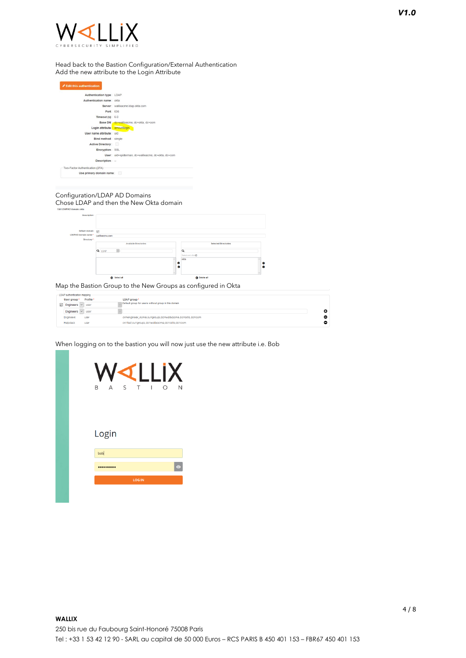#### Head back to the Bastion Configuration/External Authentication Add the new attribute to the Login Attribute

| Authentication type: LDAP       |                                                     |
|---------------------------------|-----------------------------------------------------|
| Authentication name: okta       |                                                     |
|                                 | Server: wallixacme.Idap.okta.com                    |
| Port: 636                       |                                                     |
| Timeout $(s)$ : 6.0             |                                                     |
|                                 | Base DN : dc=wallixacme, dc=okta, dc=com            |
| Login attribute : amountlogin   |                                                     |
| User name attribute: uid        |                                                     |
| Bind method: simple             |                                                     |
| Active Directory:               |                                                     |
| Encryption: SSL                 |                                                     |
|                                 | User: uid=spiderman, dc=wallixacme, dc=okta, dc=com |
| Description: -                  |                                                     |
| Two-Factor Authentication (2FA) |                                                     |
| Use primary domain name:        |                                                     |

### Configuration/LDAP AD Domains

Chose LDAP and then the New Okta domain

|                                      | Select all            |                             | <b>O</b> Delete all         |        |
|--------------------------------------|-----------------------|-----------------------------|-----------------------------|--------|
|                                      |                       | $\bullet$<br>Ø<br>$\sim$    |                             | ٥<br>ø |
|                                      |                       | okta<br>$\hat{\phantom{a}}$ |                             |        |
|                                      |                       |                             | Select and dick             |        |
|                                      | Q LDAP                | Q                           |                             |        |
|                                      | Available Directories |                             | <b>Selected Directories</b> |        |
| Directory *:                         |                       |                             |                             |        |
| LDAP/AD domain name *: wallbacme.com |                       |                             |                             |        |
| Default domain: [7]                  |                       |                             |                             |        |
|                                      |                       |                             |                             |        |
|                                      |                       |                             |                             |        |
| Description:                         |                       |                             |                             |        |
| P/AD domain: okta                    |                       |                             |                             |        |

Map the Bastion Group to the New Groups as configured in Okta

| -LDAP authentication mapping- |           |                                                         |   |  |
|-------------------------------|-----------|---------------------------------------------------------|---|--|
| User group *                  | Profile * | LDAP aroup *                                            |   |  |
| $\boxdot$ Engineers           | user      | Default group for users without group in this domain    |   |  |
| Engineers                     | user      |                                                         | о |  |
| Engineers                     | user      | cn=engineer_Acme.ou=groups.dc=wallixacme.dc=okta.dc=com |   |  |
| <b>Helpdesk</b>               | user      | cn=test.ou=groups.dc=wallixacme.dc=okta.dc=com          |   |  |

When logging on to the bastion you will now just use the new attribute i.e. Bob

| $\triangleleft$ 1<br>$\blacksquare$                         |
|-------------------------------------------------------------|
| S<br>$\top$<br>N<br>B<br>A<br>O<br>$\overline{\phantom{a}}$ |
|                                                             |
| Login                                                       |
| bob<br>$\bullet$<br>---                                     |
| <b>LOG IN</b>                                               |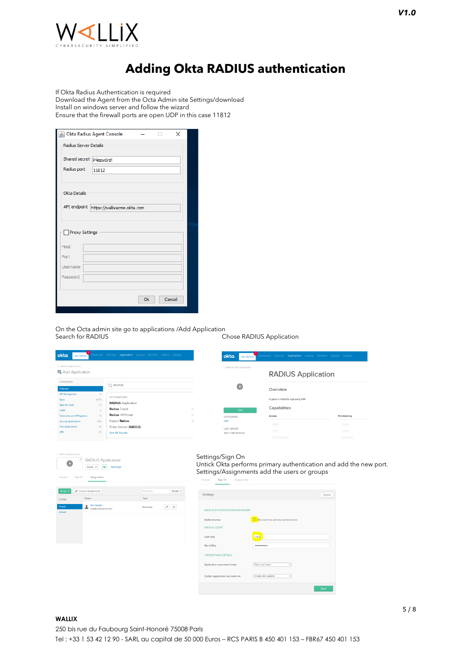

## **Adding Okta RADIUS authentication**

If Okta Radius Authentication is required Download the Agent from the Octa Admin site Settings/download Install on windows server and follow the wizard Ensure that the firewall ports are open UDP in this case 11812

|                         | <b>B</b> Okta Radius Agent Console |    | ×      |
|-------------------------|------------------------------------|----|--------|
| Radius Server Details   |                                    |    |        |
| Shared secret p4ssw0rd! |                                    |    |        |
| Radius port             | 11812                              |    |        |
|                         |                                    |    |        |
| <b>Okta Details</b>     |                                    |    |        |
| API endpoint            | https://wallixacme.okta.com        |    |        |
|                         |                                    |    |        |
| Proxy Settings          |                                    |    |        |
| Host                    |                                    |    |        |
| Port                    |                                    |    |        |
| Username                |                                    |    |        |
| Password                |                                    |    |        |
|                         |                                    |    |        |
|                         |                                    | Ok | Cancel |
|                         |                                    |    |        |

On the Octa admin site go to applications /Add Application Chose RADIUS Application

 $\overline{\alpha}$ 

Poople +

 $\mathbf{v}$ 





| Settings                              |                                      | Cancel |
|---------------------------------------|--------------------------------------|--------|
| <b>RADIUS AUTHENTICATION BEHAVIOR</b> |                                      |        |
| Authentication                        | Okta performs primary authentication |        |
| <b>RADIUS CLIENT</b>                  |                                      |        |
| <b>UDP Port</b>                       | 11812                                |        |
| <b>Secret Key</b>                     |                                      |        |
| <b>CREDENTIALS DETAILS</b>            |                                      |        |
| Application username format           | Okta username<br>$\checkmark$        |        |
| Update application username on        | Create and update<br>$\checkmark$    |        |

### **WALLIX**

 $\triangle$   $\frac{8ab-8b}{b^2}$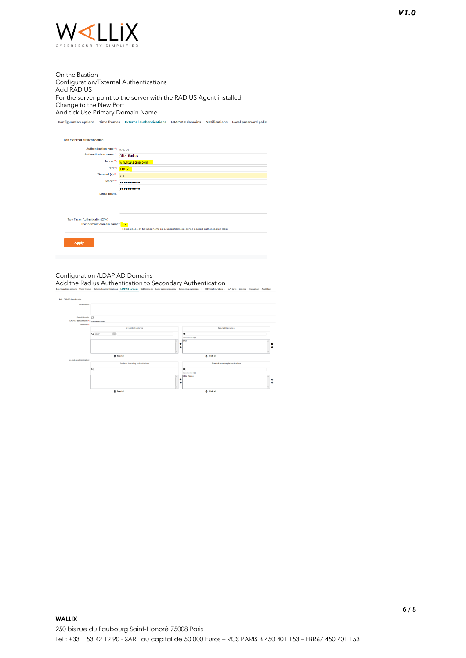

On the Bastion Configuration/External Authentications Add RADIUS For the server point to the server with the RADIUS Agent installed Change to the New Port And tick Use Primary Domain Name Configuration options Time frames External authentications LDAP/AD domains Notifications Local password policy

Edit external authentication Authentication type<sup>\*</sup>: RADIUS Authentication name \*: RADIUS<br>Authentication name \*: Okta\_Radius ukta\_Kac<br>Server \*: <mark>win2k19.</mark>  $\frac{\text{win2k19.}}{\text{Port}^*}$ Timeout (s) \*:  $\frac{11012}{5.0}$ Secret\*: **\*\*\*\*\*\*\*\*\*\*\*** .......... Description: **Apply** 

#### Configuration /LDAP AD Domains

Add the Radius Authentication to Secondary Authentication

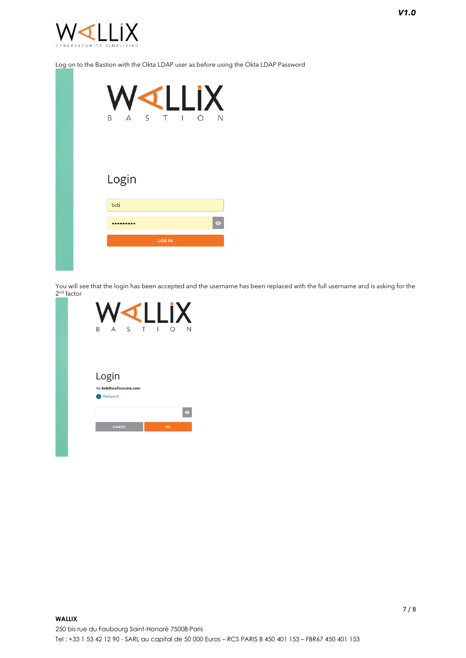

### Log on to the Bastion with the Okta LDAP user as before using the Okta LDAP Password

|  | B     | $\overline{A}$ | S T |               | <b>Contract Contract</b> | WILLIX<br>О | N         |
|--|-------|----------------|-----|---------------|--------------------------|-------------|-----------|
|  | Login |                |     |               |                          |             |           |
|  | bob   |                |     |               |                          |             |           |
|  |       |                |     |               |                          |             | $\bullet$ |
|  |       |                |     | <b>LOG IN</b> |                          |             |           |
|  |       |                |     |               |                          |             |           |

You will see that the login has been accepted and the username has been replaced with the full username and is asking for the 2<sup>nd</sup> factor

| B<br>Δ                | S | T | I<br>∩ | N         |
|-----------------------|---|---|--------|-----------|
|                       |   |   |        |           |
| Login                 |   |   |        |           |
| As bob@wallixacme.com |   |   |        |           |
| Password<br>h         |   |   |        |           |
| <b>CANCEL</b>         |   |   | OK     | $\bullet$ |
|                       |   |   |        |           |